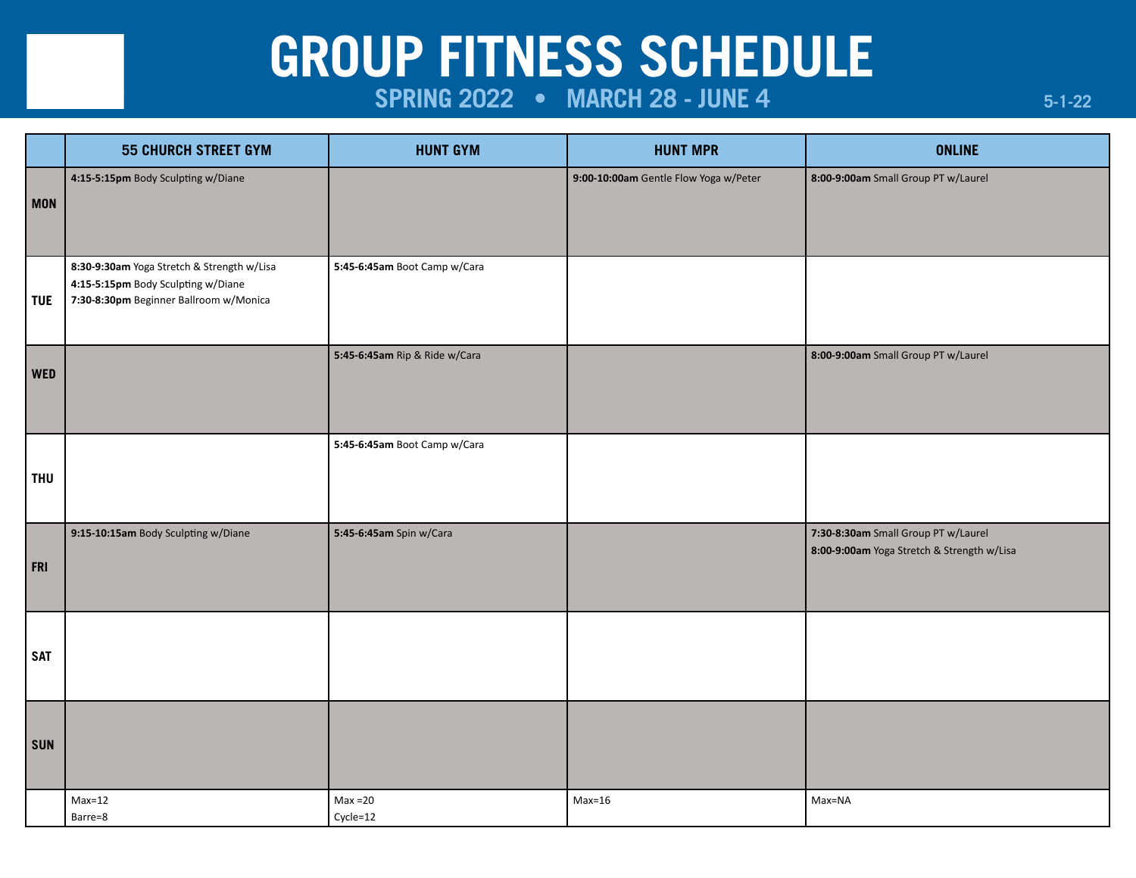# **GROUP FITNESS SCHEDULE**

# **SPRING 2022 • MARCH 28 - JUNE 4**

|            | <b>55 CHURCH STREET GYM</b>                                                                                                | <b>HUNT GYM</b>               | <b>HUNT MPR</b>                       | <b>ONLINE</b>                                                                     |
|------------|----------------------------------------------------------------------------------------------------------------------------|-------------------------------|---------------------------------------|-----------------------------------------------------------------------------------|
| <b>MON</b> | 4:15-5:15pm Body Sculpting w/Diane                                                                                         |                               | 9:00-10:00am Gentle Flow Yoga w/Peter | 8:00-9:00am Small Group PT w/Laurel                                               |
| <b>TUE</b> | 8:30-9:30am Yoga Stretch & Strength w/Lisa<br>4:15-5:15pm Body Sculpting w/Diane<br>7:30-8:30pm Beginner Ballroom w/Monica | 5:45-6:45am Boot Camp w/Cara  |                                       |                                                                                   |
| <b>WED</b> |                                                                                                                            | 5:45-6:45am Rip & Ride w/Cara |                                       | 8:00-9:00am Small Group PT w/Laurel                                               |
| <b>THU</b> |                                                                                                                            | 5:45-6:45am Boot Camp w/Cara  |                                       |                                                                                   |
| FRI        | 9:15-10:15am Body Sculpting w/Diane                                                                                        | 5:45-6:45am Spin w/Cara       |                                       | 7:30-8:30am Small Group PT w/Laurel<br>8:00-9:00am Yoga Stretch & Strength w/Lisa |
| <b>SAT</b> |                                                                                                                            |                               |                                       |                                                                                   |
| <b>SUN</b> |                                                                                                                            |                               |                                       |                                                                                   |
|            | $Max=12$<br>Barre=8                                                                                                        | $Max = 20$<br>Cycle=12        | $Max=16$                              | Max=NA                                                                            |